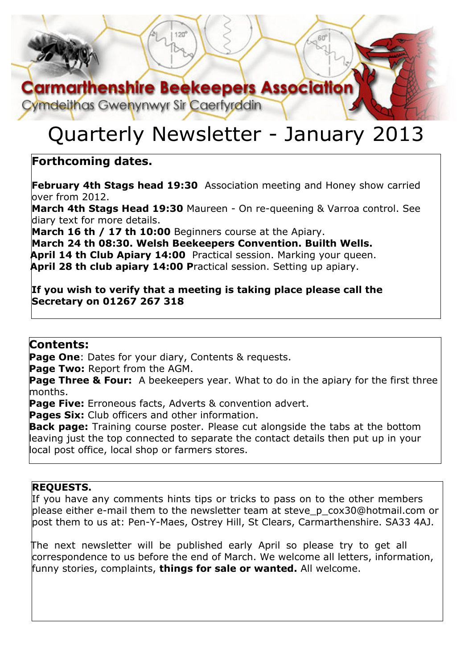# **Carmarthenshire Beekeepers Association**

Cymdeithas Gwenynwyr Sir Caerfyrddin

# Quarterly Newsletter - January 2013

### **Forthcoming dates.**

**February 4th Stags head 19:30** Association meeting and Honey show carried  $over$  from 2012.

**March 4th Stags Head 19:30** Maureen - On re-queening & Varroa control. See diary text for more details.

**March 16 th / 17 th 10:00** Beginners course at the Apiary.

**March 24 th 08:30. Welsh Beekeepers Convention. Builth Wells. April 14 th Club Apiary 14:00** Practical session. Marking your queen. **April 28 th club apiary 14:00 P**ractical session. Setting up apiary.

**If you wish to verify that a meeting is taking place please call the Secretary on 01267 267 318**

#### **Contents:**

**Page One**: Dates for your diary, Contents & requests.

**Page Two:** Report from the AGM.

**Page Three & Four:** A beekeepers year. What to do in the apiary for the first three months.

**Page Five:** Erroneous facts, Adverts & convention advert.

**Pages Six:** Club officers and other information.

**Back page:** Training course poster. Please cut alongside the tabs at the bottom leaving just the top connected to separate the contact details then put up in your local post office, local shop or farmers stores.

#### **REQUESTS.**

If you have any comments hints tips or tricks to pass on to the other members please either e-mail them to the newsletter team at steve\_p\_cox30@hotmail.com or post them to us at: Pen-Y-Maes, Ostrey Hill, St Clears, Carmarthenshire. SA33 4AJ.

The next newsletter will be published early April so please try to get all correspondence to us before the end of March. We welcome all letters, information, funny stories, complaints, **things for sale or wanted.** All welcome.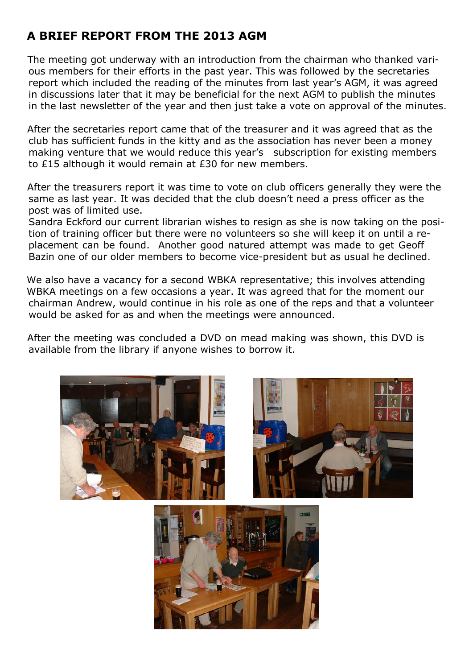# **A BRIEF REPORT FROM THE 2013 AGM**

The meeting got underway with an introduction from the chairman who thanked various members for their efforts in the past year. This was followed by the secretaries report which included the reading of the minutes from last year's AGM, it was agreed in discussions later that it may be beneficial for the next AGM to publish the minutes in the last newsletter of the year and then just take a vote on approval of the minutes.

After the secretaries report came that of the treasurer and it was agreed that as the club has sufficient funds in the kitty and as the association has never been a money making venture that we would reduce this year's subscription for existing members to £15 although it would remain at £30 for new members.

After the treasurers report it was time to vote on club officers generally they were the same as last year. It was decided that the club doesn't need a press officer as the post was of limited use.

Sandra Eckford our current librarian wishes to resign as she is now taking on the position of training officer but there were no volunteers so she will keep it on until a replacement can be found. Another good natured attempt was made to get Geoff Bazin one of our older members to become vice-president but as usual he declined.

We also have a vacancy for a second WBKA representative; this involves attending WBKA meetings on a few occasions a year. It was agreed that for the moment our chairman Andrew, would continue in his role as one of the reps and that a volunteer would be asked for as and when the meetings were announced.

After the meeting was concluded a DVD on mead making was shown, this DVD is available from the library if anyone wishes to borrow it.





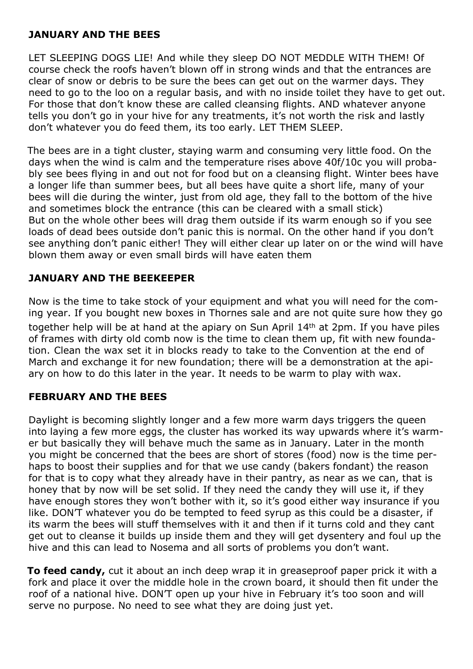#### **JANUARY AND THE BEES**

LET SLEEPING DOGS LIE! And while they sleep DO NOT MEDDLE WITH THEM! Of course check the roofs haven't blown off in strong winds and that the entrances are clear of snow or debris to be sure the bees can get out on the warmer days. They need to go to the loo on a regular basis, and with no inside toilet they have to get out. For those that don't know these are called cleansing flights. AND whatever anyone tells you don't go in your hive for any treatments, it's not worth the risk and lastly don't whatever you do feed them, its too early. LET THEM SLEEP.

The bees are in a tight cluster, staying warm and consuming very little food. On the days when the wind is calm and the temperature rises above 40f/10c you will probably see bees flying in and out not for food but on a cleansing flight. Winter bees have a longer life than summer bees, but all bees have quite a short life, many of your bees will die during the winter, just from old age, they fall to the bottom of the hive and sometimes block the entrance (this can be cleared with a small stick) But on the whole other bees will drag them outside if its warm enough so if you see loads of dead bees outside don't panic this is normal. On the other hand if you don't see anything don't panic either! They will either clear up later on or the wind will have blown them away or even small birds will have eaten them

#### **JANUARY AND THE BEEKEEPER**

Now is the time to take stock of your equipment and what you will need for the coming year. If you bought new boxes in Thornes sale and are not quite sure how they go together help will be at hand at the apiary on Sun April 14th at 2pm. If you have piles of frames with dirty old comb now is the time to clean them up, fit with new foundation. Clean the wax set it in blocks ready to take to the Convention at the end of March and exchange it for new foundation; there will be a demonstration at the apiary on how to do this later in the year. It needs to be warm to play with wax.

#### **FEBRUARY AND THE BEES**

Daylight is becoming slightly longer and a few more warm days triggers the queen into laying a few more eggs, the cluster has worked its way upwards where it's warmer but basically they will behave much the same as in January. Later in the month you might be concerned that the bees are short of stores (food) now is the time perhaps to boost their supplies and for that we use candy (bakers fondant) the reason for that is to copy what they already have in their pantry, as near as we can, that is honey that by now will be set solid. If they need the candy they will use it, if they have enough stores they won't bother with it, so it's good either way insurance if you like. DON'T whatever you do be tempted to feed syrup as this could be a disaster, if its warm the bees will stuff themselves with it and then if it turns cold and they cant get out to cleanse it builds up inside them and they will get dysentery and foul up the hive and this can lead to Nosema and all sorts of problems you don't want.

**To feed candy,** cut it about an inch deep wrap it in greaseproof paper prick it with a fork and place it over the middle hole in the crown board, it should then fit under the roof of a national hive. DON'T open up your hive in February it's too soon and will serve no purpose. No need to see what they are doing just yet.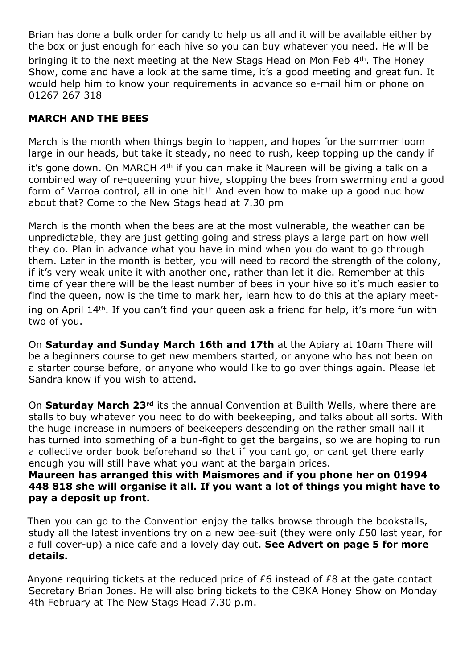Brian has done a bulk order for candy to help us all and it will be available either by the box or just enough for each hive so you can buy whatever you need. He will be bringing it to the next meeting at the New Stags Head on Mon Feb 4th. The Honev Show, come and have a look at the same time, it's a good meeting and great fun. It would help him to know your requirements in advance so e-mail him or phone on 01267 267 318

#### **MARCH AND THE BEES**

March is the month when things begin to happen, and hopes for the summer loom large in our heads, but take it steady, no need to rush, keep topping up the candy if

it's gone down. On MARCH 4<sup>th</sup> if you can make it Maureen will be giving a talk on a combined way of re-queening your hive, stopping the bees from swarming and a good form of Varroa control, all in one hit!! And even how to make up a good nuc how about that? Come to the New Stags head at 7.30 pm

March is the month when the bees are at the most vulnerable, the weather can be unpredictable, they are just getting going and stress plays a large part on how well they do. Plan in advance what you have in mind when you do want to go through them. Later in the month is better, you will need to record the strength of the colony, if it's very weak unite it with another one, rather than let it die. Remember at this time of year there will be the least number of bees in your hive so it's much easier to find the queen, now is the time to mark her, learn how to do this at the apiary meeting on April 14th. If you can't find your queen ask a friend for help, it's more fun with two of you.

On **Saturday and Sunday March 16th and 17th** at the Apiary at 10am There will be a beginners course to get new members started, or anyone who has not been on a starter course before, or anyone who would like to go over things again. Please let Sandra know if you wish to attend.

On **Saturday March 23rd** its the annual Convention at Builth Wells, where there are stalls to buy whatever you need to do with beekeeping, and talks about all sorts. With the huge increase in numbers of beekeepers descending on the rather small hall it has turned into something of a bun-fight to get the bargains, so we are hoping to run a collective order book beforehand so that if you cant go, or cant get there early enough you will still have what you want at the bargain prices.

#### **Maureen has arranged this with Maismores and if you phone her on 01994 448 818 she will organise it all. If you want a lot of things you might have to pay a deposit up front.**

Then you can go to the Convention enjoy the talks browse through the bookstalls, study all the latest inventions try on a new bee-suit (they were only £50 last year, for a full cover-up) a nice cafe and a lovely day out. **See Advert on page 5 for more details.**

Anyone requiring tickets at the reduced price of £6 instead of £8 at the gate contact Secretary Brian Jones. He will also bring tickets to the CBKA Honey Show on Monday 4th February at The New Stags Head 7.30 p.m.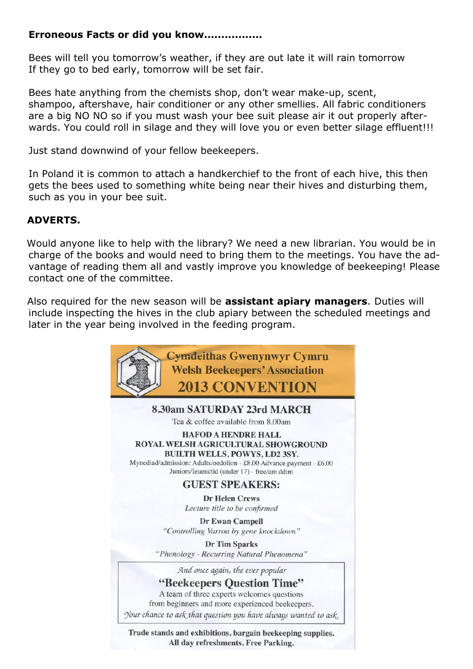#### **Erroneous Facts or did you know.................**

Bees will tell you tomorrow's weather, if they are out late it will rain tomorrow If they go to bed early, tomorrow will be set fair.

Bees hate anything from the chemists shop, don't wear make-up, scent, shampoo, aftershave, hair conditioner or any other smellies. All fabric conditioners are a big NO NO so if you must wash your bee suit please air it out properly afterwards. You could roll in silage and they will love you or even better silage effluent!!!

Just stand downwind of your fellow beekeepers.

In Poland it is common to attach a handkerchief to the front of each hive, this then gets the bees used to something white being near their hives and disturbing them, such as you in your bee suit.

#### **ADVERTS.**

Would anyone like to help with the library? We need a new librarian. You would be in charge of the books and would need to bring them to the meetings. You have the advantage of reading them all and vastly improve you knowledge of beekeeping! Please contact one of the committee.

Also required for the new season will be **assistant apiary managers**. Duties will include inspecting the hives in the club apiary between the scheduled meetings and later in the year being involved in the feeding program.



Trade stands and exhibitions, bargain beekeeping supplies. All day refreshments. Free Parking.